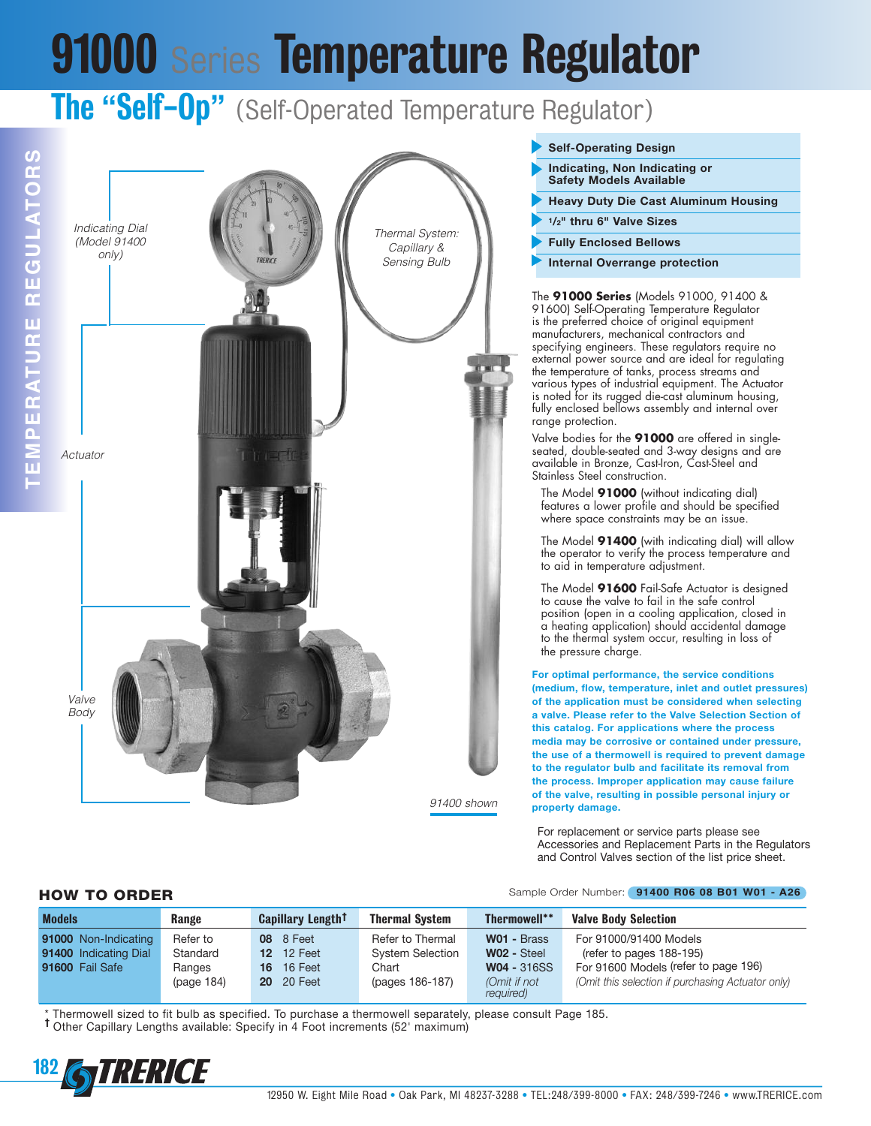# **91000** Series **Temperature Regulator**

### **The** "**Self-Op**" (Self-Operated Temperature Regulator)





#### **Self-Operating Design**

- **Indicating, Non Indicating or Safety Models Available**
- **Heavy Duty Die Cast Aluminum Housing**
- **1/2" thru 6" Valve Sizes**
- **Fully Enclosed Bellows**
- **Internal Overrange protection**

The **91000 Series** (Models 91000, 91400 & 91600) Self-Operating Temperature Regulator is the preferred choice of original equipment manufacturers, mechanical contractors and specifying engineers. These regulators require no external power source and are ideal for regulating the temperature of tanks, process streams and various types of industrial equipment. The Actuator is noted for its rugged die-cast aluminum housing, fully enclosed bellows assembly and internal over range protection.

Valve bodies for the **91000** are offered in singleseated, double-seated and 3-way designs and are available in Bronze, Cast-Iron, Cast-Steel and Stainless Steel construction.

The Model **91000** (without indicating dial) features a lower profile and should be specified where space constraints may be an issue.

The Model **91400** (with indicating dial) will allow the operator to verify the process temperature and to aid in temperature adjustment.

The Model **91600** Fail-Safe Actuator is designed to cause the valve to fail in the safe control position (open in a cooling application, closed in a heating application) should accidental damage to the thermal system occur, resulting in loss of the pressure charge.

**For optimal performance, the service conditions (medium, flow, temperature, inlet and outlet pressures) of the application must be considered when selecting a valve. Please refer to the Valve Selection Section of this catalog. For applications where the process media may be corrosive or contained under pressure, the use of a thermowell is required to prevent damage to the regulator bulb and facilitate its removal from the process. Improper application may cause failure of the valve, resulting in possible personal injury or property damage.**

For replacement or service parts please see Accessories and Replacement Parts in the Regulators and Control Valves section of the list price sheet.

#### **HOW TO ORDER** Sample Order Number: **<sup>91400</sup> R06 <sup>08</sup> B01 W01 - A26**

| <b>Models</b>         | Range      | Capillary Length <sup>†</sup> | <b>Thermal System</b>   | <b>Thermowell**</b>       | <b>Valve Body Selection</b>                       |
|-----------------------|------------|-------------------------------|-------------------------|---------------------------|---------------------------------------------------|
| 91000 Non-Indicating  | Refer to   | <b>08</b> 8 Feet              | Refer to Thermal        | W01 - Brass               | For 91000/91400 Models                            |
| 91400 Indicating Dial | Standard   | <b>12</b> 12 Feet             | <b>System Selection</b> | W02 - Steel               | (refer to pages 188-195)                          |
| 91600 Fail Safe       | Ranges     | <b>16</b> 16 Feet             | Chart                   | <b>W04 - 316SS</b>        | For 91600 Models (refer to page 196)              |
|                       | (page 184) | <b>20</b> 20 Feet             | (pages 186-187)         | (Omit if not<br>required) | (Omit this selection if purchasing Actuator only) |

\* Thermowell sized to fit bulb as specified. To purchase <sup>a</sup> thermowell separately, please consult Page 185. **†** Other Capillary Lengths available: Specify in <sup>4</sup> Foot increments (52' maximum)

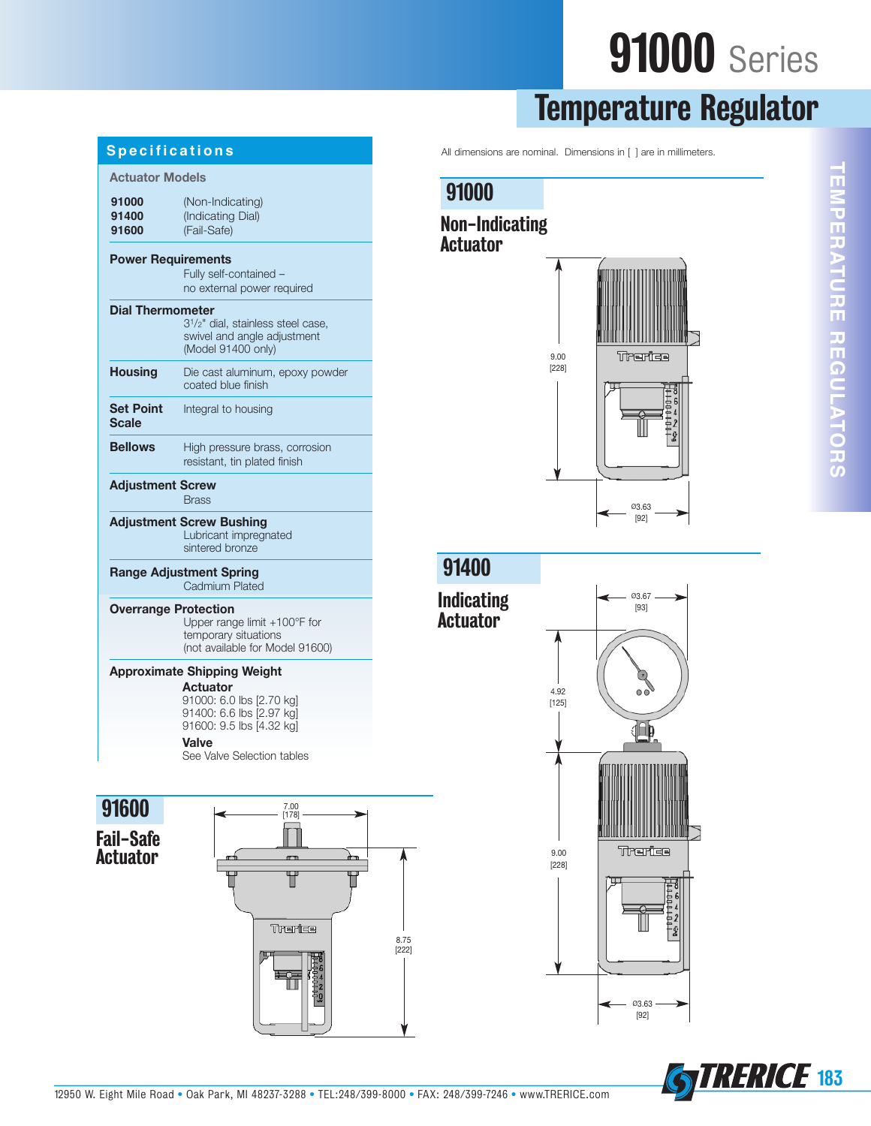## **91000** Series

## **Temperature Regulator**

All dimensions are nominal. Dimensions in [ ] are in millimeters.

### **91000**

#### **Non-Indicating Actuator**



**E M** <u>प</u> **E R A T U R E R E G U L A T O R** <u>(၇</u>

**T**

| Specifications                                          |                                                                                                                  |  |  |  |
|---------------------------------------------------------|------------------------------------------------------------------------------------------------------------------|--|--|--|
| <b>Actuator Models</b>                                  |                                                                                                                  |  |  |  |
| 91000<br>91400<br>91600                                 | (Non-Indicating)<br>(Indicating Dial)<br>(Fail-Safe)                                                             |  |  |  |
| <b>Power Requirements</b>                               | Fully self-contained -<br>no external power required                                                             |  |  |  |
| <b>Dial Thermometer</b>                                 | 3 <sup>1</sup> / <sub>2</sub> " dial, stainless steel case,<br>swivel and angle adjustment<br>(Model 91400 only) |  |  |  |
| <b>Housing</b>                                          | Die cast aluminum, epoxy powder<br>coated blue finish                                                            |  |  |  |
| <b>Set Point</b><br>Scale                               | Integral to housing                                                                                              |  |  |  |
| <b>Bellows</b>                                          | High pressure brass, corrosion<br>resistant, tin plated finish                                                   |  |  |  |
| <b>Adjustment Screw</b><br><b>Brass</b>                 |                                                                                                                  |  |  |  |
|                                                         | <b>Adjustment Screw Bushing</b><br>Lubricant impregnated<br>sintered bronze                                      |  |  |  |
| <b>Range Adjustment Spring</b><br><b>Cadmium Plated</b> |                                                                                                                  |  |  |  |
| <b>Overrange Protection</b>                             | Upper range limit +100°F for<br>temporary situations<br>(not available for Model 91600)                          |  |  |  |
| <b>Approximate Shipping Weight</b>                      |                                                                                                                  |  |  |  |
|                                                         | <b>Actuator</b><br>91000: 6.0 lbs [2.70 kg]<br>91400: 6.6 lbs [2.97 kg]<br>91600: 9.5 lbs [4.32 kg]              |  |  |  |

#### **Valve**

See Valve Selection tables



**Fail-Safe Actuator**